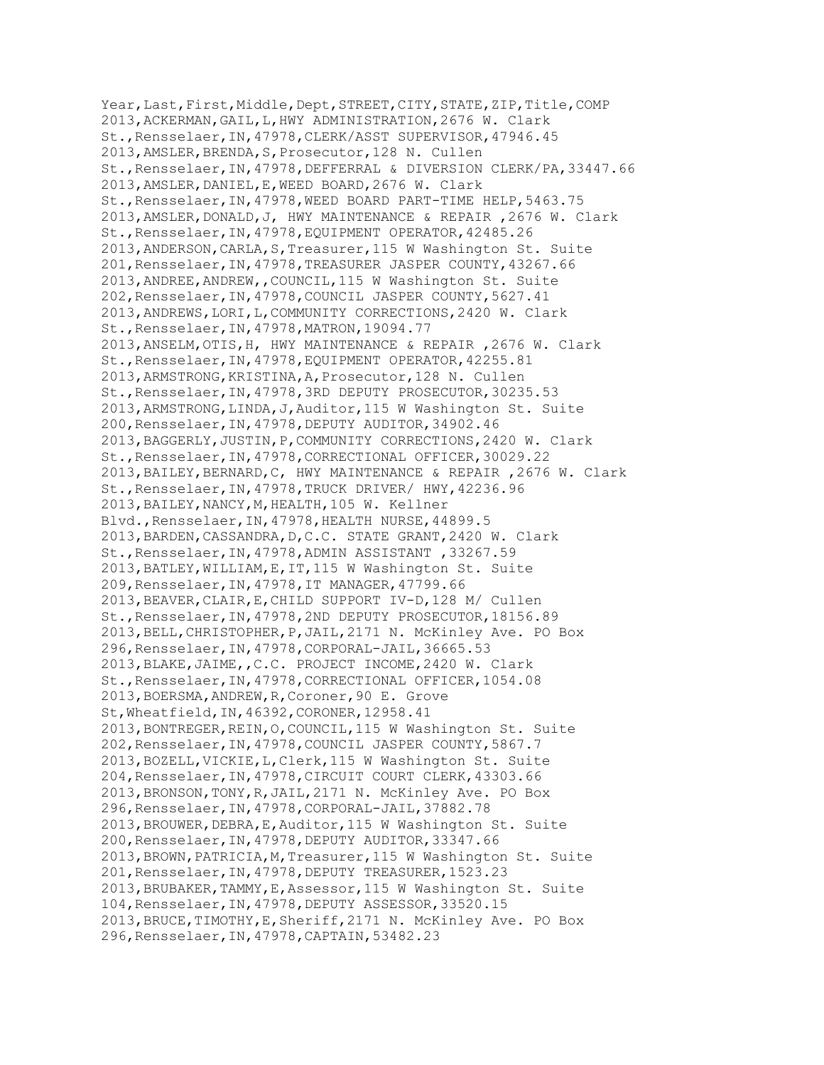Year, Last, First, Middle, Dept, STREET, CITY, STATE, ZIP, Title, COMP 2013,ACKERMAN,GAIL,L,HWY ADMINISTRATION,2676 W. Clark St.,Rensselaer,IN,47978,CLERK/ASST SUPERVISOR,47946.45 2013,AMSLER,BRENDA,S,Prosecutor,128 N. Cullen St.,Rensselaer,IN,47978,DEFFERRAL & DIVERSION CLERK/PA,33447.66 2013,AMSLER,DANIEL,E,WEED BOARD,2676 W. Clark St.,Rensselaer,IN,47978,WEED BOARD PART-TIME HELP,5463.75 2013,AMSLER,DONALD,J, HWY MAINTENANCE & REPAIR ,2676 W. Clark St.,Rensselaer,IN,47978,EQUIPMENT OPERATOR,42485.26 2013,ANDERSON,CARLA,S,Treasurer,115 W Washington St. Suite 201,Rensselaer,IN,47978,TREASURER JASPER COUNTY,43267.66 2013,ANDREE,ANDREW,,COUNCIL,115 W Washington St. Suite 202,Rensselaer,IN,47978,COUNCIL JASPER COUNTY,5627.41 2013,ANDREWS,LORI,L,COMMUNITY CORRECTIONS,2420 W. Clark St.,Rensselaer,IN,47978,MATRON,19094.77 2013,ANSELM,OTIS,H, HWY MAINTENANCE & REPAIR ,2676 W. Clark St.,Rensselaer,IN,47978,EQUIPMENT OPERATOR,42255.81 2013,ARMSTRONG,KRISTINA,A,Prosecutor,128 N. Cullen St.,Rensselaer,IN,47978,3RD DEPUTY PROSECUTOR,30235.53 2013,ARMSTRONG,LINDA,J,Auditor,115 W Washington St. Suite 200,Rensselaer,IN,47978,DEPUTY AUDITOR,34902.46 2013,BAGGERLY,JUSTIN,P,COMMUNITY CORRECTIONS,2420 W. Clark St.,Rensselaer,IN,47978,CORRECTIONAL OFFICER,30029.22 2013,BAILEY,BERNARD,C, HWY MAINTENANCE & REPAIR ,2676 W. Clark St.,Rensselaer,IN,47978,TRUCK DRIVER/ HWY,42236.96 2013,BAILEY,NANCY,M,HEALTH,105 W. Kellner Blvd.,Rensselaer,IN,47978,HEALTH NURSE,44899.5 2013,BARDEN,CASSANDRA,D,C.C. STATE GRANT,2420 W. Clark St.,Rensselaer,IN,47978,ADMIN ASSISTANT ,33267.59 2013,BATLEY,WILLIAM,E,IT,115 W Washington St. Suite 209,Rensselaer,IN,47978,IT MANAGER,47799.66 2013,BEAVER,CLAIR,E,CHILD SUPPORT IV-D,128 M/ Cullen St.,Rensselaer,IN,47978,2ND DEPUTY PROSECUTOR,18156.89 2013,BELL,CHRISTOPHER,P,JAIL,2171 N. McKinley Ave. PO Box 296,Rensselaer,IN,47978,CORPORAL-JAIL,36665.53 2013,BLAKE,JAIME,,C.C. PROJECT INCOME,2420 W. Clark St.,Rensselaer,IN,47978,CORRECTIONAL OFFICER,1054.08 2013,BOERSMA,ANDREW,R,Coroner,90 E. Grove St,Wheatfield,IN,46392,CORONER,12958.41 2013,BONTREGER,REIN,O,COUNCIL,115 W Washington St. Suite 202,Rensselaer,IN,47978,COUNCIL JASPER COUNTY,5867.7 2013,BOZELL,VICKIE,L,Clerk,115 W Washington St. Suite 204,Rensselaer,IN,47978,CIRCUIT COURT CLERK,43303.66 2013,BRONSON,TONY,R,JAIL,2171 N. McKinley Ave. PO Box 296,Rensselaer,IN,47978,CORPORAL-JAIL,37882.78 2013,BROUWER,DEBRA,E,Auditor,115 W Washington St. Suite 200,Rensselaer,IN,47978,DEPUTY AUDITOR,33347.66 2013,BROWN,PATRICIA,M,Treasurer,115 W Washington St. Suite 201,Rensselaer,IN,47978,DEPUTY TREASURER,1523.23 2013,BRUBAKER,TAMMY,E,Assessor,115 W Washington St. Suite 104,Rensselaer,IN,47978,DEPUTY ASSESSOR,33520.15 2013,BRUCE,TIMOTHY,E,Sheriff,2171 N. McKinley Ave. PO Box 296,Rensselaer,IN,47978,CAPTAIN,53482.23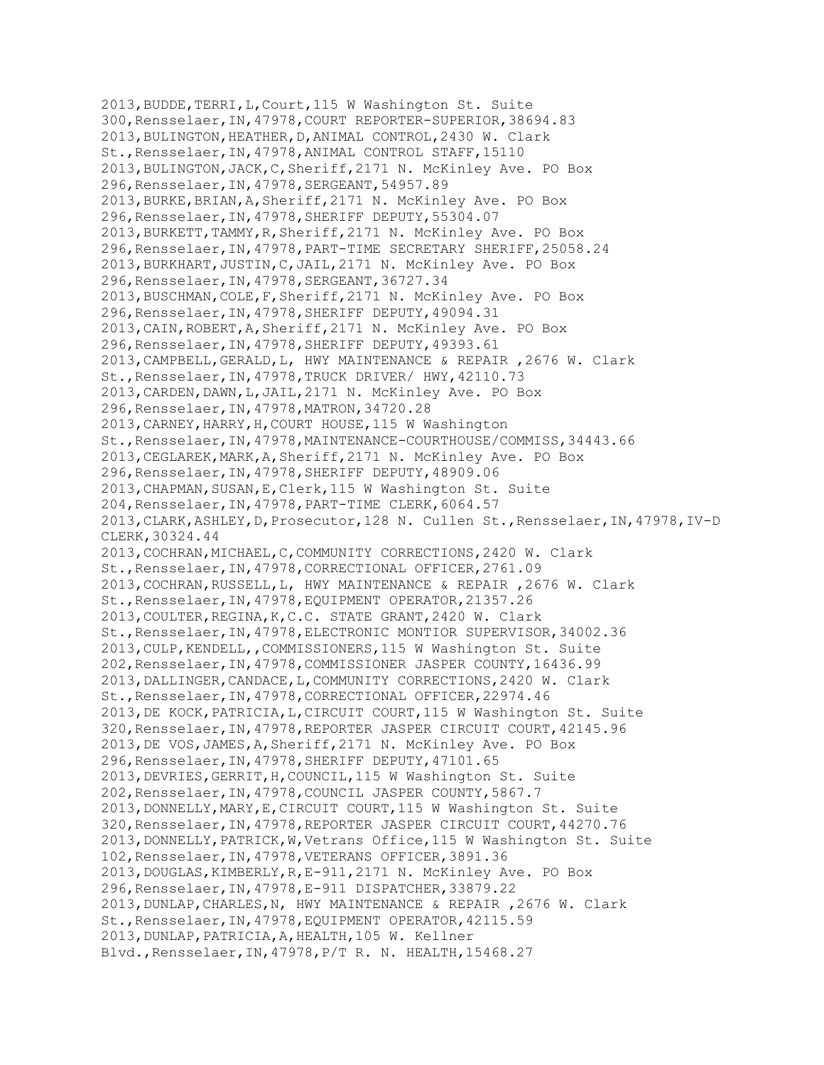2013,BUDDE,TERRI,L,Court,115 W Washington St. Suite 300,Rensselaer,IN,47978,COURT REPORTER-SUPERIOR,38694.83 2013,BULINGTON,HEATHER,D,ANIMAL CONTROL,2430 W. Clark St.,Rensselaer,IN,47978,ANIMAL CONTROL STAFF,15110 2013,BULINGTON,JACK,C,Sheriff,2171 N. McKinley Ave. PO Box 296,Rensselaer,IN,47978,SERGEANT,54957.89 2013,BURKE,BRIAN,A,Sheriff,2171 N. McKinley Ave. PO Box 296,Rensselaer,IN,47978,SHERIFF DEPUTY,55304.07 2013,BURKETT,TAMMY,R,Sheriff,2171 N. McKinley Ave. PO Box 296,Rensselaer,IN,47978,PART-TIME SECRETARY SHERIFF,25058.24 2013,BURKHART,JUSTIN,C,JAIL,2171 N. McKinley Ave. PO Box 296,Rensselaer,IN,47978,SERGEANT,36727.34 2013,BUSCHMAN,COLE,F,Sheriff,2171 N. McKinley Ave. PO Box 296,Rensselaer,IN,47978,SHERIFF DEPUTY,49094.31 2013,CAIN,ROBERT,A,Sheriff,2171 N. McKinley Ave. PO Box 296,Rensselaer,IN,47978,SHERIFF DEPUTY,49393.61 2013,CAMPBELL,GERALD,L, HWY MAINTENANCE & REPAIR ,2676 W. Clark St.,Rensselaer,IN,47978,TRUCK DRIVER/ HWY,42110.73 2013,CARDEN,DAWN,L,JAIL,2171 N. McKinley Ave. PO Box 296,Rensselaer,IN,47978,MATRON,34720.28 2013,CARNEY,HARRY,H,COURT HOUSE,115 W Washington St.,Rensselaer,IN,47978,MAINTENANCE-COURTHOUSE/COMMISS,34443.66 2013,CEGLAREK,MARK,A,Sheriff,2171 N. McKinley Ave. PO Box 296,Rensselaer,IN,47978,SHERIFF DEPUTY,48909.06 2013,CHAPMAN,SUSAN,E,Clerk,115 W Washington St. Suite 204,Rensselaer,IN,47978,PART-TIME CLERK,6064.57 2013,CLARK,ASHLEY,D,Prosecutor,128 N. Cullen St.,Rensselaer,IN,47978,IV-D CLERK,30324.44 2013,COCHRAN,MICHAEL,C,COMMUNITY CORRECTIONS,2420 W. Clark St.,Rensselaer,IN,47978,CORRECTIONAL OFFICER,2761.09 2013,COCHRAN,RUSSELL,L, HWY MAINTENANCE & REPAIR ,2676 W. Clark St.,Rensselaer,IN,47978,EQUIPMENT OPERATOR,21357.26 2013,COULTER,REGINA,K,C.C. STATE GRANT,2420 W. Clark St.,Rensselaer,IN,47978,ELECTRONIC MONTIOR SUPERVISOR,34002.36 2013,CULP,KENDELL,,COMMISSIONERS,115 W Washington St. Suite 202,Rensselaer,IN,47978,COMMISSIONER JASPER COUNTY,16436.99 2013,DALLINGER,CANDACE,L,COMMUNITY CORRECTIONS,2420 W. Clark St.,Rensselaer,IN,47978,CORRECTIONAL OFFICER,22974.46 2013,DE KOCK,PATRICIA,L,CIRCUIT COURT,115 W Washington St. Suite 320,Rensselaer,IN,47978,REPORTER JASPER CIRCUIT COURT,42145.96 2013,DE VOS,JAMES,A,Sheriff,2171 N. McKinley Ave. PO Box 296,Rensselaer,IN,47978,SHERIFF DEPUTY,47101.65 2013,DEVRIES,GERRIT,H,COUNCIL,115 W Washington St. Suite 202,Rensselaer,IN,47978,COUNCIL JASPER COUNTY,5867.7 2013,DONNELLY,MARY,E,CIRCUIT COURT,115 W Washington St. Suite 320,Rensselaer,IN,47978,REPORTER JASPER CIRCUIT COURT,44270.76 2013, DONNELLY, PATRICK, W, Vetrans Office, 115 W Washington St. Suite 102,Rensselaer,IN,47978,VETERANS OFFICER,3891.36 2013,DOUGLAS,KIMBERLY,R,E-911,2171 N. McKinley Ave. PO Box 296,Rensselaer,IN,47978,E-911 DISPATCHER,33879.22 2013,DUNLAP,CHARLES,N, HWY MAINTENANCE & REPAIR ,2676 W. Clark St.,Rensselaer,IN,47978,EQUIPMENT OPERATOR,42115.59 2013,DUNLAP,PATRICIA,A,HEALTH,105 W. Kellner Blvd.,Rensselaer,IN,47978,P/T R. N. HEALTH,15468.27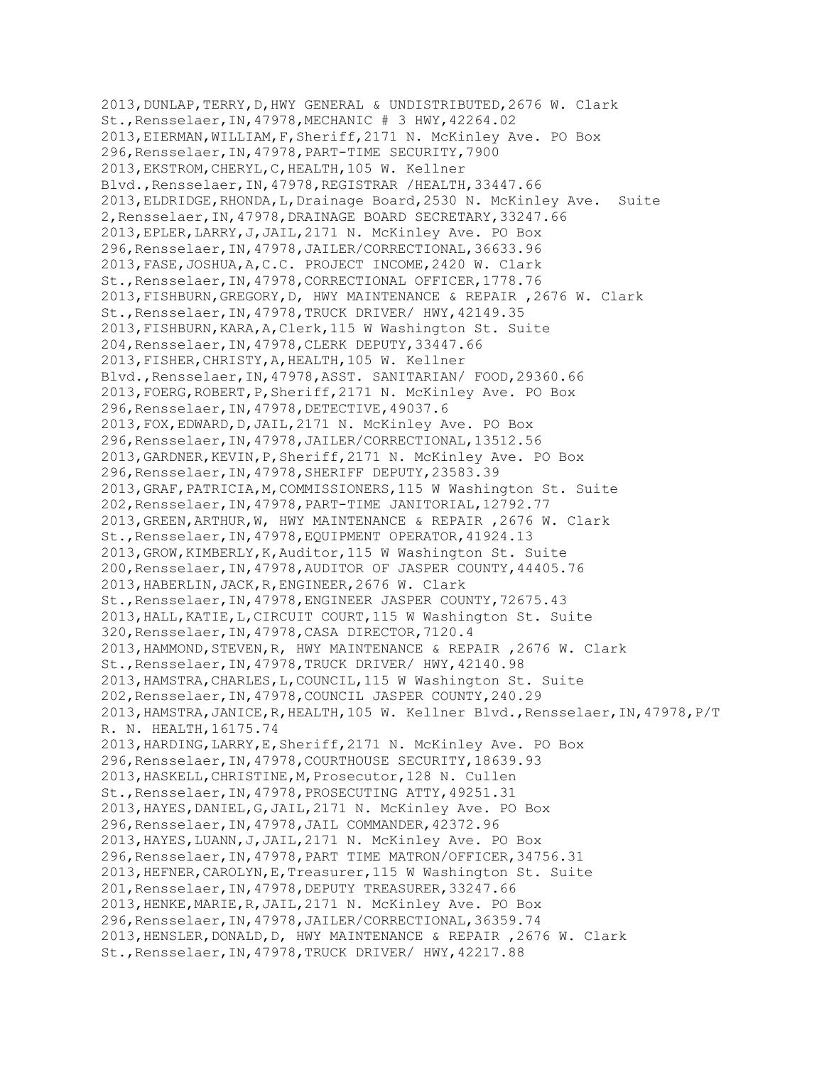2013,DUNLAP,TERRY,D,HWY GENERAL & UNDISTRIBUTED,2676 W. Clark St.,Rensselaer,IN,47978,MECHANIC # 3 HWY,42264.02 2013,EIERMAN,WILLIAM,F,Sheriff,2171 N. McKinley Ave. PO Box 296,Rensselaer,IN,47978,PART-TIME SECURITY,7900 2013,EKSTROM,CHERYL,C,HEALTH,105 W. Kellner Blvd.,Rensselaer,IN,47978,REGISTRAR /HEALTH,33447.66 2013,ELDRIDGE,RHONDA,L,Drainage Board,2530 N. McKinley Ave. Suite 2,Rensselaer,IN,47978,DRAINAGE BOARD SECRETARY,33247.66 2013,EPLER,LARRY,J,JAIL,2171 N. McKinley Ave. PO Box 296,Rensselaer,IN,47978,JAILER/CORRECTIONAL,36633.96 2013,FASE,JOSHUA,A,C.C. PROJECT INCOME,2420 W. Clark St.,Rensselaer,IN,47978,CORRECTIONAL OFFICER,1778.76 2013,FISHBURN,GREGORY,D, HWY MAINTENANCE & REPAIR ,2676 W. Clark St.,Rensselaer,IN,47978,TRUCK DRIVER/ HWY,42149.35 2013,FISHBURN,KARA,A,Clerk,115 W Washington St. Suite 204,Rensselaer,IN,47978,CLERK DEPUTY,33447.66 2013,FISHER,CHRISTY,A,HEALTH,105 W. Kellner Blvd.,Rensselaer,IN,47978,ASST. SANITARIAN/ FOOD,29360.66 2013,FOERG,ROBERT,P,Sheriff,2171 N. McKinley Ave. PO Box 296,Rensselaer,IN,47978,DETECTIVE,49037.6 2013,FOX,EDWARD,D,JAIL,2171 N. McKinley Ave. PO Box 296,Rensselaer,IN,47978,JAILER/CORRECTIONAL,13512.56 2013,GARDNER,KEVIN,P,Sheriff,2171 N. McKinley Ave. PO Box 296,Rensselaer,IN,47978,SHERIFF DEPUTY,23583.39 2013,GRAF,PATRICIA,M,COMMISSIONERS,115 W Washington St. Suite 202,Rensselaer,IN,47978,PART-TIME JANITORIAL,12792.77 2013,GREEN,ARTHUR,W, HWY MAINTENANCE & REPAIR ,2676 W. Clark St.,Rensselaer,IN,47978,EQUIPMENT OPERATOR,41924.13 2013,GROW,KIMBERLY,K,Auditor,115 W Washington St. Suite 200,Rensselaer,IN,47978,AUDITOR OF JASPER COUNTY,44405.76 2013,HABERLIN,JACK,R,ENGINEER,2676 W. Clark St.,Rensselaer,IN,47978,ENGINEER JASPER COUNTY,72675.43 2013,HALL,KATIE,L,CIRCUIT COURT,115 W Washington St. Suite 320,Rensselaer,IN,47978,CASA DIRECTOR,7120.4 2013,HAMMOND,STEVEN,R, HWY MAINTENANCE & REPAIR ,2676 W. Clark St.,Rensselaer,IN,47978,TRUCK DRIVER/ HWY,42140.98 2013,HAMSTRA,CHARLES,L,COUNCIL,115 W Washington St. Suite 202,Rensselaer,IN,47978,COUNCIL JASPER COUNTY,240.29 2013,HAMSTRA,JANICE,R,HEALTH,105 W. Kellner Blvd.,Rensselaer,IN,47978,P/T R. N. HEALTH,16175.74 2013,HARDING,LARRY,E,Sheriff,2171 N. McKinley Ave. PO Box 296,Rensselaer,IN,47978,COURTHOUSE SECURITY,18639.93 2013,HASKELL,CHRISTINE,M,Prosecutor,128 N. Cullen St.,Rensselaer,IN,47978,PROSECUTING ATTY,49251.31 2013,HAYES,DANIEL,G,JAIL,2171 N. McKinley Ave. PO Box 296,Rensselaer,IN,47978,JAIL COMMANDER,42372.96 2013,HAYES,LUANN,J,JAIL,2171 N. McKinley Ave. PO Box 296,Rensselaer,IN,47978,PART TIME MATRON/OFFICER,34756.31 2013,HEFNER,CAROLYN,E,Treasurer,115 W Washington St. Suite 201,Rensselaer,IN,47978,DEPUTY TREASURER,33247.66 2013,HENKE,MARIE,R,JAIL,2171 N. McKinley Ave. PO Box 296,Rensselaer,IN,47978,JAILER/CORRECTIONAL,36359.74 2013,HENSLER,DONALD,D, HWY MAINTENANCE & REPAIR ,2676 W. Clark St.,Rensselaer,IN,47978,TRUCK DRIVER/ HWY,42217.88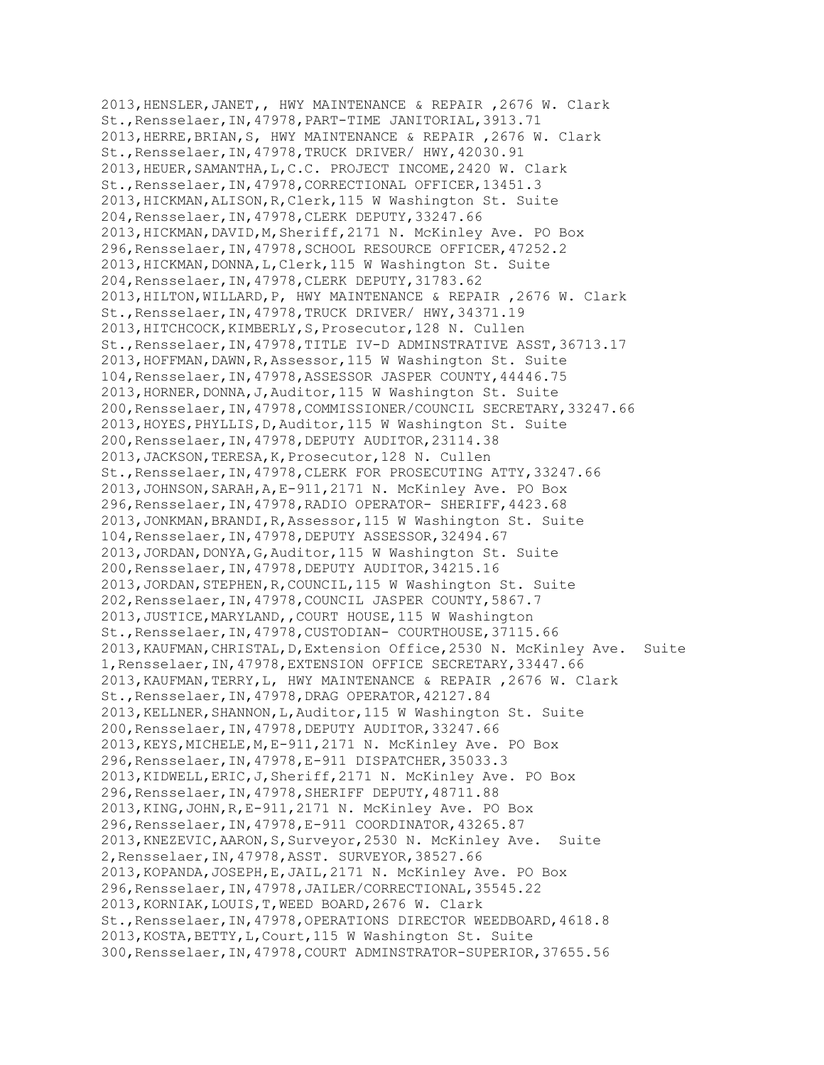2013,HENSLER,JANET,, HWY MAINTENANCE & REPAIR ,2676 W. Clark St.,Rensselaer,IN,47978,PART-TIME JANITORIAL,3913.71 2013,HERRE,BRIAN,S, HWY MAINTENANCE & REPAIR ,2676 W. Clark St.,Rensselaer,IN,47978,TRUCK DRIVER/ HWY,42030.91 2013,HEUER,SAMANTHA,L,C.C. PROJECT INCOME,2420 W. Clark St.,Rensselaer,IN,47978,CORRECTIONAL OFFICER,13451.3 2013,HICKMAN,ALISON,R,Clerk,115 W Washington St. Suite 204,Rensselaer,IN,47978,CLERK DEPUTY,33247.66 2013,HICKMAN,DAVID,M,Sheriff,2171 N. McKinley Ave. PO Box 296,Rensselaer,IN,47978,SCHOOL RESOURCE OFFICER,47252.2 2013,HICKMAN,DONNA,L,Clerk,115 W Washington St. Suite 204,Rensselaer,IN,47978,CLERK DEPUTY,31783.62 2013,HILTON,WILLARD,P, HWY MAINTENANCE & REPAIR ,2676 W. Clark St.,Rensselaer,IN,47978,TRUCK DRIVER/ HWY,34371.19 2013,HITCHCOCK,KIMBERLY,S,Prosecutor,128 N. Cullen St.,Rensselaer,IN,47978,TITLE IV-D ADMINSTRATIVE ASST,36713.17 2013,HOFFMAN,DAWN,R,Assessor,115 W Washington St. Suite 104,Rensselaer,IN,47978,ASSESSOR JASPER COUNTY,44446.75 2013,HORNER,DONNA,J,Auditor,115 W Washington St. Suite 200,Rensselaer,IN,47978,COMMISSIONER/COUNCIL SECRETARY,33247.66 2013,HOYES,PHYLLIS,D,Auditor,115 W Washington St. Suite 200,Rensselaer,IN,47978,DEPUTY AUDITOR,23114.38 2013,JACKSON,TERESA,K,Prosecutor,128 N. Cullen St.,Rensselaer,IN,47978,CLERK FOR PROSECUTING ATTY,33247.66 2013,JOHNSON,SARAH,A,E-911,2171 N. McKinley Ave. PO Box 296,Rensselaer,IN,47978,RADIO OPERATOR- SHERIFF,4423.68 2013,JONKMAN,BRANDI,R,Assessor,115 W Washington St. Suite 104,Rensselaer,IN,47978,DEPUTY ASSESSOR,32494.67 2013,JORDAN,DONYA,G,Auditor,115 W Washington St. Suite 200,Rensselaer,IN,47978,DEPUTY AUDITOR,34215.16 2013,JORDAN,STEPHEN,R,COUNCIL,115 W Washington St. Suite 202,Rensselaer,IN,47978,COUNCIL JASPER COUNTY,5867.7 2013,JUSTICE,MARYLAND,,COURT HOUSE,115 W Washington St.,Rensselaer,IN,47978,CUSTODIAN- COURTHOUSE,37115.66 2013,KAUFMAN,CHRISTAL,D,Extension Office,2530 N. McKinley Ave. Suite 1,Rensselaer,IN,47978,EXTENSION OFFICE SECRETARY,33447.66 2013,KAUFMAN,TERRY,L, HWY MAINTENANCE & REPAIR ,2676 W. Clark St.,Rensselaer,IN,47978,DRAG OPERATOR,42127.84 2013,KELLNER,SHANNON,L,Auditor,115 W Washington St. Suite 200,Rensselaer,IN,47978,DEPUTY AUDITOR,33247.66 2013,KEYS,MICHELE,M,E-911,2171 N. McKinley Ave. PO Box 296,Rensselaer,IN,47978,E-911 DISPATCHER,35033.3 2013,KIDWELL,ERIC,J,Sheriff,2171 N. McKinley Ave. PO Box 296,Rensselaer,IN,47978,SHERIFF DEPUTY,48711.88 2013,KING,JOHN,R,E-911,2171 N. McKinley Ave. PO Box 296,Rensselaer,IN,47978,E-911 COORDINATOR,43265.87 2013,KNEZEVIC,AARON,S,Surveyor,2530 N. McKinley Ave. Suite 2,Rensselaer,IN,47978,ASST. SURVEYOR,38527.66 2013,KOPANDA,JOSEPH,E,JAIL,2171 N. McKinley Ave. PO Box 296,Rensselaer,IN,47978,JAILER/CORRECTIONAL,35545.22 2013,KORNIAK,LOUIS,T,WEED BOARD,2676 W. Clark St.,Rensselaer,IN,47978,OPERATIONS DIRECTOR WEEDBOARD,4618.8 2013,KOSTA,BETTY,L,Court,115 W Washington St. Suite 300,Rensselaer,IN,47978,COURT ADMINSTRATOR-SUPERIOR,37655.56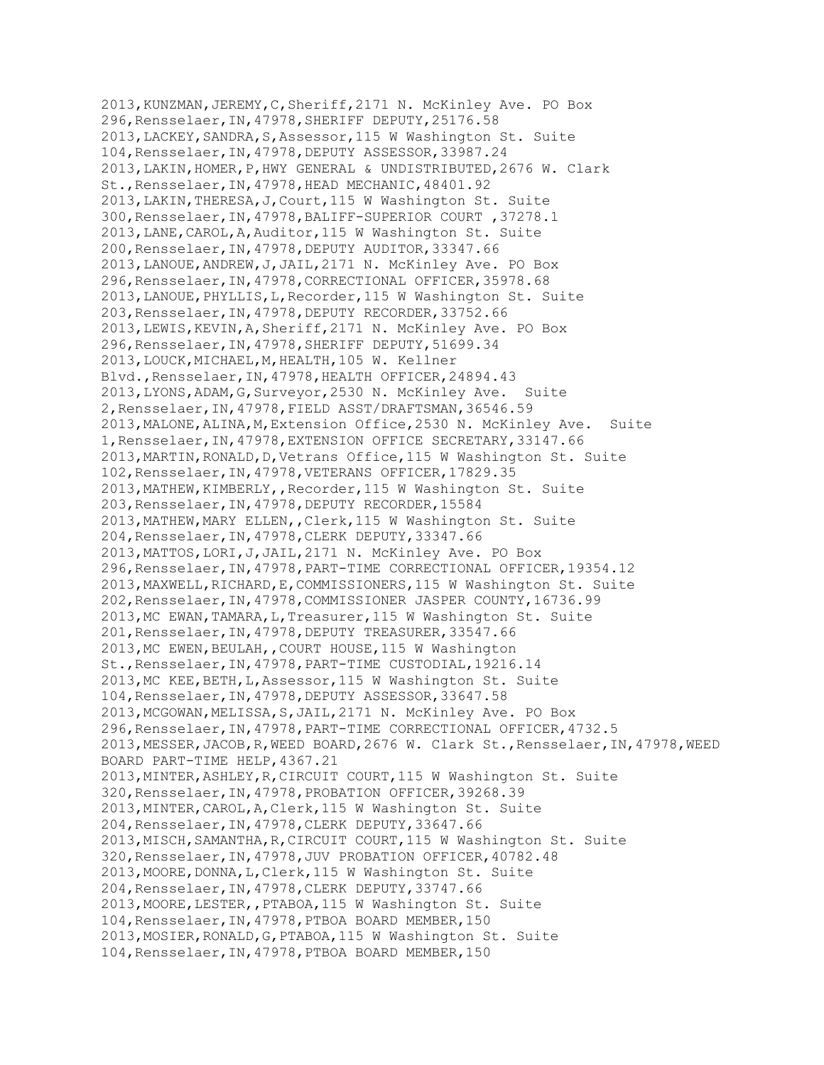2013,KUNZMAN,JEREMY,C,Sheriff,2171 N. McKinley Ave. PO Box 296,Rensselaer,IN,47978,SHERIFF DEPUTY,25176.58 2013,LACKEY,SANDRA,S,Assessor,115 W Washington St. Suite 104,Rensselaer,IN,47978,DEPUTY ASSESSOR,33987.24 2013,LAKIN,HOMER,P,HWY GENERAL & UNDISTRIBUTED,2676 W. Clark St.,Rensselaer,IN,47978,HEAD MECHANIC,48401.92 2013,LAKIN,THERESA,J,Court,115 W Washington St. Suite 300,Rensselaer,IN,47978,BALIFF-SUPERIOR COURT ,37278.1 2013,LANE,CAROL,A,Auditor,115 W Washington St. Suite 200,Rensselaer,IN,47978,DEPUTY AUDITOR,33347.66 2013,LANOUE,ANDREW,J,JAIL,2171 N. McKinley Ave. PO Box 296,Rensselaer,IN,47978,CORRECTIONAL OFFICER,35978.68 2013,LANOUE,PHYLLIS,L,Recorder,115 W Washington St. Suite 203,Rensselaer,IN,47978,DEPUTY RECORDER,33752.66 2013,LEWIS,KEVIN,A,Sheriff,2171 N. McKinley Ave. PO Box 296,Rensselaer,IN,47978,SHERIFF DEPUTY,51699.34 2013,LOUCK,MICHAEL,M,HEALTH,105 W. Kellner Blvd.,Rensselaer,IN,47978,HEALTH OFFICER,24894.43 2013,LYONS,ADAM,G,Surveyor,2530 N. McKinley Ave. Suite 2,Rensselaer,IN,47978,FIELD ASST/DRAFTSMAN,36546.59 2013,MALONE,ALINA,M,Extension Office,2530 N. McKinley Ave. Suite 1,Rensselaer,IN,47978,EXTENSION OFFICE SECRETARY,33147.66 2013,MARTIN,RONALD,D,Vetrans Office,115 W Washington St. Suite 102,Rensselaer,IN,47978,VETERANS OFFICER,17829.35 2013,MATHEW,KIMBERLY,,Recorder,115 W Washington St. Suite 203,Rensselaer,IN,47978,DEPUTY RECORDER,15584 2013,MATHEW,MARY ELLEN,,Clerk,115 W Washington St. Suite 204,Rensselaer,IN,47978,CLERK DEPUTY,33347.66 2013,MATTOS,LORI,J,JAIL,2171 N. McKinley Ave. PO Box 296,Rensselaer,IN,47978,PART-TIME CORRECTIONAL OFFICER,19354.12 2013,MAXWELL,RICHARD,E,COMMISSIONERS,115 W Washington St. Suite 202,Rensselaer,IN,47978,COMMISSIONER JASPER COUNTY,16736.99 2013,MC EWAN,TAMARA,L,Treasurer,115 W Washington St. Suite 201,Rensselaer,IN,47978,DEPUTY TREASURER,33547.66 2013,MC EWEN,BEULAH,,COURT HOUSE,115 W Washington St.,Rensselaer,IN,47978,PART-TIME CUSTODIAL,19216.14 2013,MC KEE,BETH,L,Assessor,115 W Washington St. Suite 104,Rensselaer,IN,47978,DEPUTY ASSESSOR,33647.58 2013,MCGOWAN,MELISSA,S,JAIL,2171 N. McKinley Ave. PO Box 296,Rensselaer,IN,47978,PART-TIME CORRECTIONAL OFFICER,4732.5 2013,MESSER,JACOB,R,WEED BOARD,2676 W. Clark St.,Rensselaer,IN,47978,WEED BOARD PART-TIME HELP,4367.21 2013,MINTER,ASHLEY,R,CIRCUIT COURT,115 W Washington St. Suite 320,Rensselaer,IN,47978,PROBATION OFFICER,39268.39 2013,MINTER,CAROL,A,Clerk,115 W Washington St. Suite 204,Rensselaer,IN,47978,CLERK DEPUTY,33647.66 2013,MISCH,SAMANTHA,R,CIRCUIT COURT,115 W Washington St. Suite 320,Rensselaer,IN,47978,JUV PROBATION OFFICER,40782.48 2013,MOORE,DONNA,L,Clerk,115 W Washington St. Suite 204,Rensselaer,IN,47978,CLERK DEPUTY,33747.66 2013,MOORE,LESTER,,PTABOA,115 W Washington St. Suite 104,Rensselaer,IN,47978,PTBOA BOARD MEMBER,150 2013,MOSIER,RONALD,G,PTABOA,115 W Washington St. Suite 104,Rensselaer,IN,47978,PTBOA BOARD MEMBER,150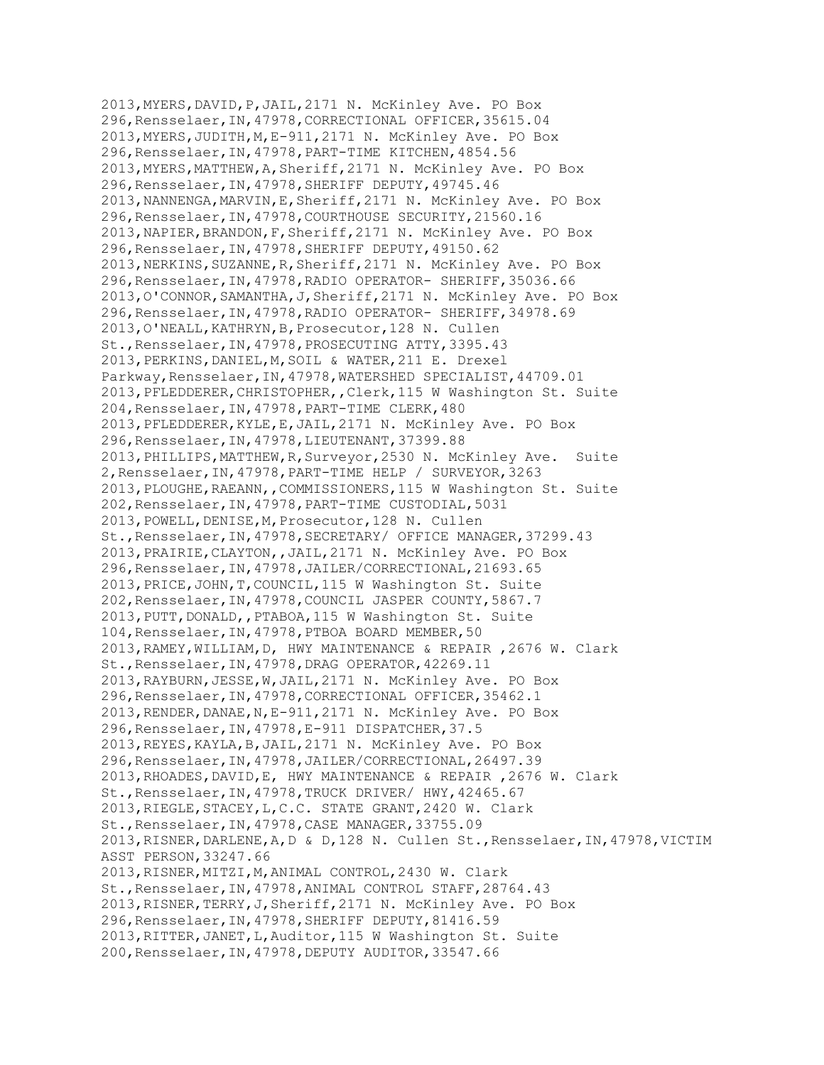2013,MYERS,DAVID,P,JAIL,2171 N. McKinley Ave. PO Box 296,Rensselaer,IN,47978,CORRECTIONAL OFFICER,35615.04 2013,MYERS,JUDITH,M,E-911,2171 N. McKinley Ave. PO Box 296,Rensselaer,IN,47978,PART-TIME KITCHEN,4854.56 2013,MYERS,MATTHEW,A,Sheriff,2171 N. McKinley Ave. PO Box 296,Rensselaer,IN,47978,SHERIFF DEPUTY,49745.46 2013,NANNENGA,MARVIN,E,Sheriff,2171 N. McKinley Ave. PO Box 296,Rensselaer,IN,47978,COURTHOUSE SECURITY,21560.16 2013,NAPIER,BRANDON,F,Sheriff,2171 N. McKinley Ave. PO Box 296,Rensselaer,IN,47978,SHERIFF DEPUTY,49150.62 2013,NERKINS,SUZANNE,R,Sheriff,2171 N. McKinley Ave. PO Box 296,Rensselaer,IN,47978,RADIO OPERATOR- SHERIFF,35036.66 2013,O'CONNOR,SAMANTHA,J,Sheriff,2171 N. McKinley Ave. PO Box 296,Rensselaer,IN,47978,RADIO OPERATOR- SHERIFF,34978.69 2013,O'NEALL,KATHRYN,B,Prosecutor,128 N. Cullen St.,Rensselaer,IN,47978,PROSECUTING ATTY,3395.43 2013,PERKINS,DANIEL,M,SOIL & WATER,211 E. Drexel Parkway, Rensselaer, IN, 47978, WATERSHED SPECIALIST, 44709.01 2013,PFLEDDERER,CHRISTOPHER,,Clerk,115 W Washington St. Suite 204,Rensselaer,IN,47978,PART-TIME CLERK,480 2013,PFLEDDERER,KYLE,E,JAIL,2171 N. McKinley Ave. PO Box 296,Rensselaer,IN,47978,LIEUTENANT,37399.88 2013,PHILLIPS,MATTHEW,R,Surveyor,2530 N. McKinley Ave. Suite 2,Rensselaer,IN,47978,PART-TIME HELP / SURVEYOR,3263 2013,PLOUGHE,RAEANN,,COMMISSIONERS,115 W Washington St. Suite 202,Rensselaer,IN,47978,PART-TIME CUSTODIAL,5031 2013,POWELL,DENISE,M,Prosecutor,128 N. Cullen St.,Rensselaer,IN,47978,SECRETARY/ OFFICE MANAGER,37299.43 2013,PRAIRIE,CLAYTON,,JAIL,2171 N. McKinley Ave. PO Box 296,Rensselaer,IN,47978,JAILER/CORRECTIONAL,21693.65 2013,PRICE,JOHN,T,COUNCIL,115 W Washington St. Suite 202,Rensselaer,IN,47978,COUNCIL JASPER COUNTY,5867.7 2013,PUTT,DONALD,,PTABOA,115 W Washington St. Suite 104,Rensselaer,IN,47978,PTBOA BOARD MEMBER,50 2013,RAMEY,WILLIAM,D, HWY MAINTENANCE & REPAIR ,2676 W. Clark St.,Rensselaer,IN,47978,DRAG OPERATOR,42269.11 2013,RAYBURN,JESSE,W,JAIL,2171 N. McKinley Ave. PO Box 296,Rensselaer,IN,47978,CORRECTIONAL OFFICER,35462.1 2013,RENDER,DANAE,N,E-911,2171 N. McKinley Ave. PO Box 296,Rensselaer,IN,47978,E-911 DISPATCHER,37.5 2013,REYES,KAYLA,B,JAIL,2171 N. McKinley Ave. PO Box 296,Rensselaer,IN,47978,JAILER/CORRECTIONAL,26497.39 2013,RHOADES,DAVID,E, HWY MAINTENANCE & REPAIR ,2676 W. Clark St.,Rensselaer,IN,47978,TRUCK DRIVER/ HWY,42465.67 2013,RIEGLE,STACEY,L,C.C. STATE GRANT,2420 W. Clark St.,Rensselaer,IN,47978,CASE MANAGER,33755.09 2013,RISNER,DARLENE,A,D & D,128 N. Cullen St.,Rensselaer,IN,47978,VICTIM ASST PERSON,33247.66 2013,RISNER,MITZI,M,ANIMAL CONTROL,2430 W. Clark St.,Rensselaer,IN,47978,ANIMAL CONTROL STAFF,28764.43 2013,RISNER,TERRY,J,Sheriff,2171 N. McKinley Ave. PO Box 296,Rensselaer,IN,47978,SHERIFF DEPUTY,81416.59 2013,RITTER,JANET,L,Auditor,115 W Washington St. Suite 200,Rensselaer,IN,47978,DEPUTY AUDITOR,33547.66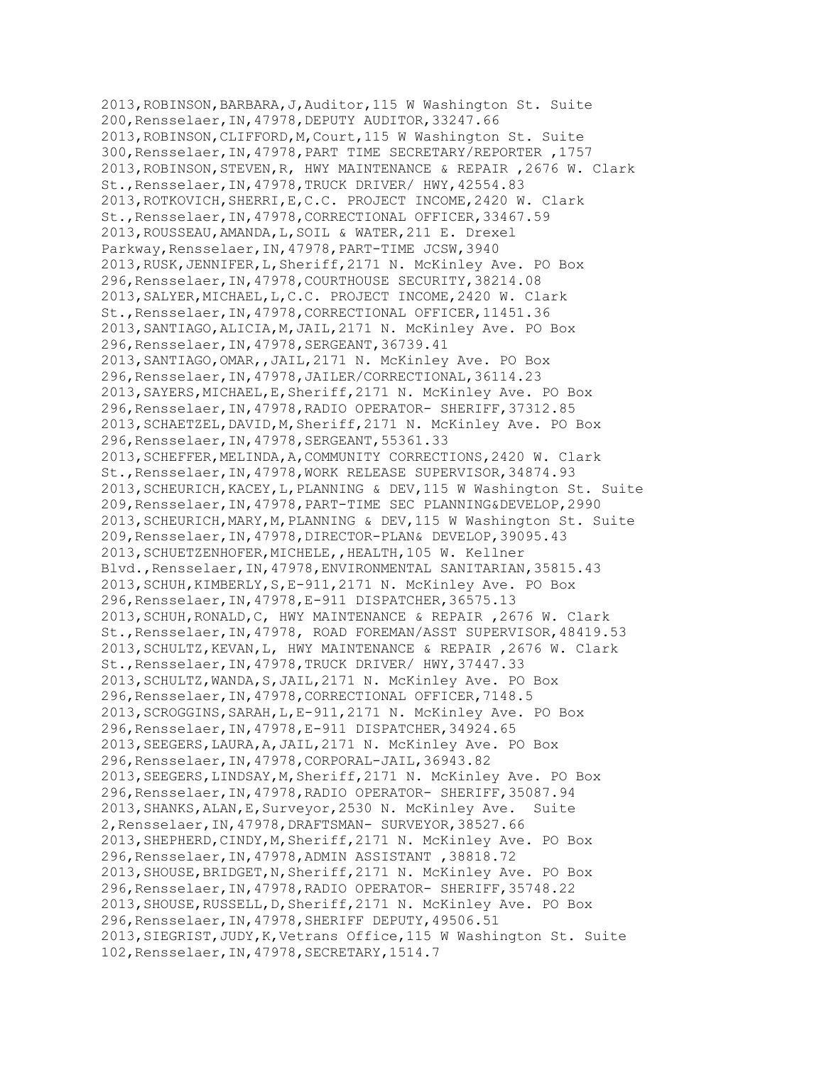2013,ROBINSON,BARBARA,J,Auditor,115 W Washington St. Suite 200,Rensselaer,IN,47978,DEPUTY AUDITOR,33247.66 2013,ROBINSON,CLIFFORD,M,Court,115 W Washington St. Suite 300,Rensselaer,IN,47978,PART TIME SECRETARY/REPORTER ,1757 2013,ROBINSON,STEVEN,R, HWY MAINTENANCE & REPAIR ,2676 W. Clark St.,Rensselaer,IN,47978,TRUCK DRIVER/ HWY,42554.83 2013,ROTKOVICH,SHERRI,E,C.C. PROJECT INCOME,2420 W. Clark St.,Rensselaer,IN,47978,CORRECTIONAL OFFICER,33467.59 2013,ROUSSEAU,AMANDA,L,SOIL & WATER,211 E. Drexel Parkway, Rensselaer, IN, 47978, PART-TIME JCSW, 3940 2013,RUSK,JENNIFER,L,Sheriff,2171 N. McKinley Ave. PO Box 296,Rensselaer,IN,47978,COURTHOUSE SECURITY,38214.08 2013,SALYER,MICHAEL,L,C.C. PROJECT INCOME,2420 W. Clark St.,Rensselaer,IN,47978,CORRECTIONAL OFFICER,11451.36 2013,SANTIAGO,ALICIA,M,JAIL,2171 N. McKinley Ave. PO Box 296,Rensselaer,IN,47978,SERGEANT,36739.41 2013,SANTIAGO,OMAR,,JAIL,2171 N. McKinley Ave. PO Box 296,Rensselaer,IN,47978,JAILER/CORRECTIONAL,36114.23 2013,SAYERS,MICHAEL,E,Sheriff,2171 N. McKinley Ave. PO Box 296,Rensselaer,IN,47978,RADIO OPERATOR- SHERIFF,37312.85 2013,SCHAETZEL,DAVID,M,Sheriff,2171 N. McKinley Ave. PO Box 296,Rensselaer,IN,47978,SERGEANT,55361.33 2013,SCHEFFER,MELINDA,A,COMMUNITY CORRECTIONS,2420 W. Clark St.,Rensselaer,IN,47978,WORK RELEASE SUPERVISOR,34874.93 2013,SCHEURICH,KACEY,L,PLANNING & DEV,115 W Washington St. Suite 209,Rensselaer,IN,47978,PART-TIME SEC PLANNING&DEVELOP,2990 2013,SCHEURICH,MARY,M,PLANNING & DEV,115 W Washington St. Suite 209,Rensselaer,IN,47978,DIRECTOR-PLAN& DEVELOP,39095.43 2013,SCHUETZENHOFER,MICHELE,,HEALTH,105 W. Kellner Blvd.,Rensselaer,IN,47978,ENVIRONMENTAL SANITARIAN,35815.43 2013,SCHUH,KIMBERLY,S,E-911,2171 N. McKinley Ave. PO Box 296,Rensselaer,IN,47978,E-911 DISPATCHER,36575.13 2013,SCHUH,RONALD,C, HWY MAINTENANCE & REPAIR ,2676 W. Clark St.,Rensselaer,IN,47978, ROAD FOREMAN/ASST SUPERVISOR,48419.53 2013,SCHULTZ,KEVAN,L, HWY MAINTENANCE & REPAIR ,2676 W. Clark St.,Rensselaer,IN,47978,TRUCK DRIVER/ HWY,37447.33 2013, SCHULTZ, WANDA, S, JAIL, 2171 N. McKinley Ave. PO Box 296,Rensselaer,IN,47978,CORRECTIONAL OFFICER,7148.5 2013,SCROGGINS,SARAH,L,E-911,2171 N. McKinley Ave. PO Box 296,Rensselaer,IN,47978,E-911 DISPATCHER,34924.65 2013,SEEGERS,LAURA,A,JAIL,2171 N. McKinley Ave. PO Box 296,Rensselaer,IN,47978,CORPORAL-JAIL,36943.82 2013,SEEGERS,LINDSAY,M,Sheriff,2171 N. McKinley Ave. PO Box 296,Rensselaer,IN,47978,RADIO OPERATOR- SHERIFF,35087.94 2013,SHANKS,ALAN,E,Surveyor,2530 N. McKinley Ave. Suite 2,Rensselaer,IN,47978,DRAFTSMAN- SURVEYOR,38527.66 2013,SHEPHERD,CINDY,M,Sheriff,2171 N. McKinley Ave. PO Box 296,Rensselaer,IN,47978,ADMIN ASSISTANT ,38818.72 2013,SHOUSE,BRIDGET,N,Sheriff,2171 N. McKinley Ave. PO Box 296,Rensselaer,IN,47978,RADIO OPERATOR- SHERIFF,35748.22 2013,SHOUSE,RUSSELL,D,Sheriff,2171 N. McKinley Ave. PO Box 296,Rensselaer,IN,47978,SHERIFF DEPUTY,49506.51 2013,SIEGRIST,JUDY,K,Vetrans Office,115 W Washington St. Suite 102,Rensselaer,IN,47978,SECRETARY,1514.7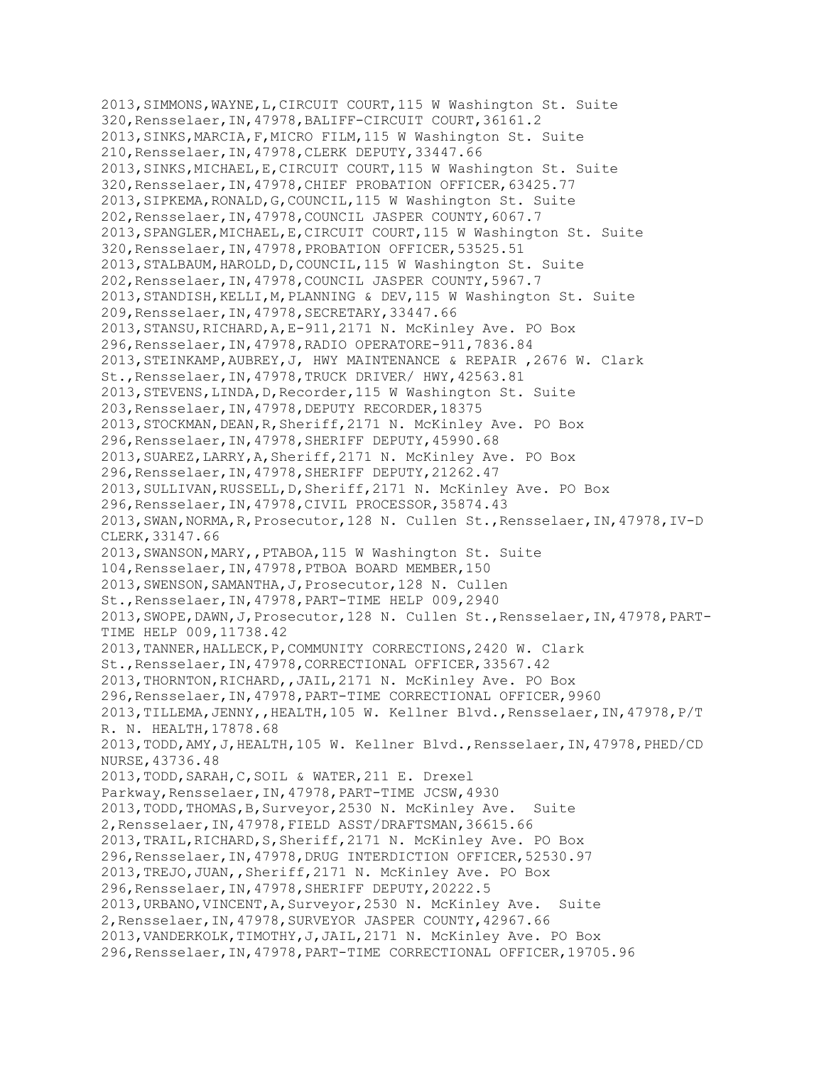2013,SIMMONS,WAYNE,L,CIRCUIT COURT,115 W Washington St. Suite 320,Rensselaer,IN,47978,BALIFF-CIRCUIT COURT,36161.2 2013,SINKS,MARCIA,F,MICRO FILM,115 W Washington St. Suite 210,Rensselaer,IN,47978,CLERK DEPUTY,33447.66 2013,SINKS,MICHAEL,E,CIRCUIT COURT,115 W Washington St. Suite 320,Rensselaer,IN,47978,CHIEF PROBATION OFFICER,63425.77 2013,SIPKEMA,RONALD,G,COUNCIL,115 W Washington St. Suite 202,Rensselaer,IN,47978,COUNCIL JASPER COUNTY,6067.7 2013,SPANGLER,MICHAEL,E,CIRCUIT COURT,115 W Washington St. Suite 320,Rensselaer,IN,47978,PROBATION OFFICER,53525.51 2013,STALBAUM,HAROLD,D,COUNCIL,115 W Washington St. Suite 202,Rensselaer,IN,47978,COUNCIL JASPER COUNTY,5967.7 2013, STANDISH, KELLI, M, PLANNING & DEV, 115 W Washington St. Suite 209,Rensselaer,IN,47978,SECRETARY,33447.66 2013,STANSU,RICHARD,A,E-911,2171 N. McKinley Ave. PO Box 296,Rensselaer,IN,47978,RADIO OPERATORE-911,7836.84 2013,STEINKAMP,AUBREY,J, HWY MAINTENANCE & REPAIR ,2676 W. Clark St.,Rensselaer,IN,47978,TRUCK DRIVER/ HWY,42563.81 2013,STEVENS,LINDA,D,Recorder,115 W Washington St. Suite 203,Rensselaer,IN,47978,DEPUTY RECORDER,18375 2013,STOCKMAN,DEAN,R,Sheriff,2171 N. McKinley Ave. PO Box 296,Rensselaer,IN,47978,SHERIFF DEPUTY,45990.68 2013,SUAREZ,LARRY,A,Sheriff,2171 N. McKinley Ave. PO Box 296,Rensselaer,IN,47978,SHERIFF DEPUTY,21262.47 2013,SULLIVAN,RUSSELL,D,Sheriff,2171 N. McKinley Ave. PO Box 296,Rensselaer,IN,47978,CIVIL PROCESSOR,35874.43 2013,SWAN,NORMA,R,Prosecutor,128 N. Cullen St.,Rensselaer,IN,47978,IV-D CLERK,33147.66 2013,SWANSON,MARY,,PTABOA,115 W Washington St. Suite 104,Rensselaer,IN,47978,PTBOA BOARD MEMBER,150 2013,SWENSON,SAMANTHA,J,Prosecutor,128 N. Cullen St.,Rensselaer,IN,47978,PART-TIME HELP 009,2940 2013,SWOPE,DAWN,J,Prosecutor,128 N. Cullen St.,Rensselaer,IN,47978,PART-TIME HELP 009,11738.42 2013,TANNER,HALLECK,P,COMMUNITY CORRECTIONS,2420 W. Clark St.,Rensselaer,IN,47978,CORRECTIONAL OFFICER,33567.42 2013,THORNTON,RICHARD,,JAIL,2171 N. McKinley Ave. PO Box 296,Rensselaer,IN,47978,PART-TIME CORRECTIONAL OFFICER,9960 2013,TILLEMA,JENNY,,HEALTH,105 W. Kellner Blvd.,Rensselaer,IN,47978,P/T R. N. HEALTH,17878.68 2013,TODD,AMY,J,HEALTH,105 W. Kellner Blvd.,Rensselaer,IN,47978,PHED/CD NURSE,43736.48 2013,TODD,SARAH,C,SOIL & WATER,211 E. Drexel Parkway,Rensselaer,IN,47978,PART-TIME JCSW,4930 2013,TODD,THOMAS,B,Surveyor,2530 N. McKinley Ave. Suite 2,Rensselaer,IN,47978,FIELD ASST/DRAFTSMAN,36615.66 2013,TRAIL,RICHARD,S,Sheriff,2171 N. McKinley Ave. PO Box 296,Rensselaer,IN,47978,DRUG INTERDICTION OFFICER,52530.97 2013,TREJO,JUAN,,Sheriff,2171 N. McKinley Ave. PO Box 296,Rensselaer,IN,47978,SHERIFF DEPUTY,20222.5 2013,URBANO,VINCENT,A,Surveyor,2530 N. McKinley Ave. Suite 2,Rensselaer,IN,47978,SURVEYOR JASPER COUNTY,42967.66 2013,VANDERKOLK,TIMOTHY,J,JAIL,2171 N. McKinley Ave. PO Box 296,Rensselaer,IN,47978,PART-TIME CORRECTIONAL OFFICER,19705.96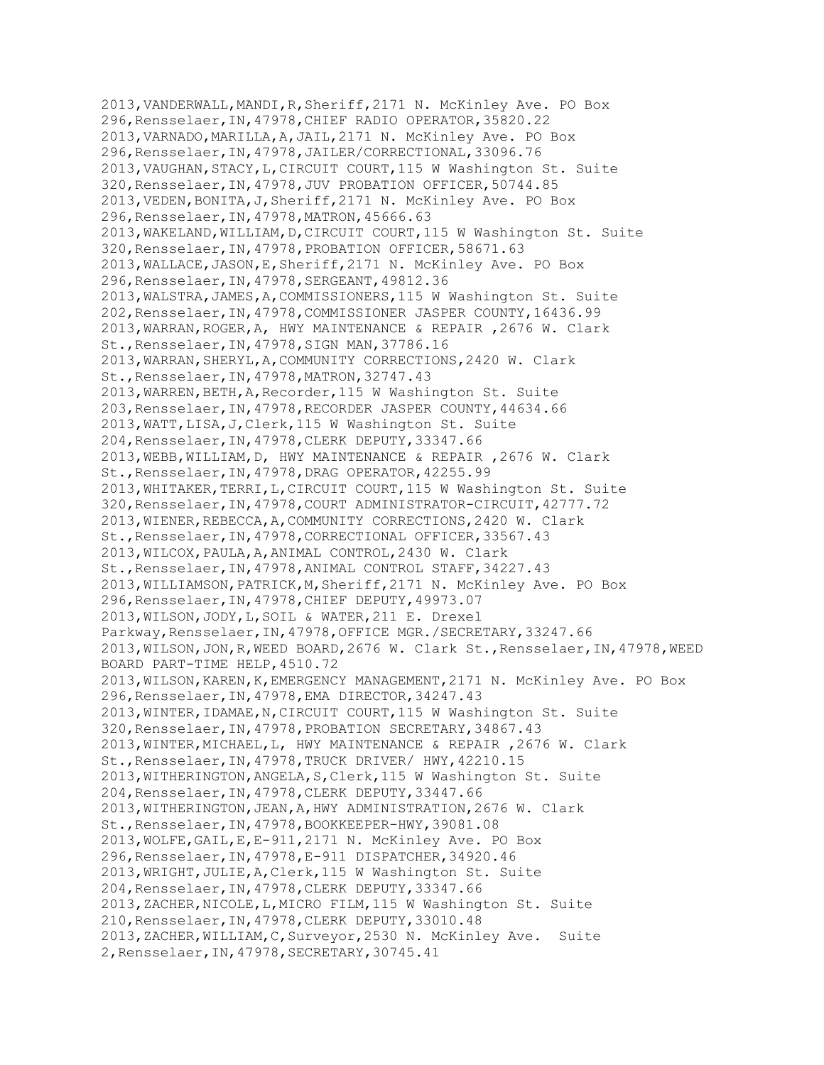2013,VANDERWALL,MANDI,R,Sheriff,2171 N. McKinley Ave. PO Box 296,Rensselaer,IN,47978,CHIEF RADIO OPERATOR,35820.22 2013,VARNADO,MARILLA,A,JAIL,2171 N. McKinley Ave. PO Box 296,Rensselaer,IN,47978,JAILER/CORRECTIONAL,33096.76 2013,VAUGHAN,STACY,L,CIRCUIT COURT,115 W Washington St. Suite 320,Rensselaer,IN,47978,JUV PROBATION OFFICER,50744.85 2013,VEDEN,BONITA,J,Sheriff,2171 N. McKinley Ave. PO Box 296,Rensselaer,IN,47978,MATRON,45666.63 2013,WAKELAND,WILLIAM,D,CIRCUIT COURT,115 W Washington St. Suite 320,Rensselaer,IN,47978,PROBATION OFFICER,58671.63 2013,WALLACE,JASON,E,Sheriff,2171 N. McKinley Ave. PO Box 296,Rensselaer,IN,47978,SERGEANT,49812.36 2013,WALSTRA,JAMES,A,COMMISSIONERS,115 W Washington St. Suite 202,Rensselaer,IN,47978,COMMISSIONER JASPER COUNTY,16436.99 2013,WARRAN,ROGER,A, HWY MAINTENANCE & REPAIR ,2676 W. Clark St.,Rensselaer,IN,47978,SIGN MAN,37786.16 2013,WARRAN,SHERYL,A,COMMUNITY CORRECTIONS,2420 W. Clark St.,Rensselaer,IN,47978,MATRON,32747.43 2013,WARREN,BETH,A,Recorder,115 W Washington St. Suite 203,Rensselaer,IN,47978,RECORDER JASPER COUNTY,44634.66 2013,WATT,LISA,J,Clerk,115 W Washington St. Suite 204,Rensselaer,IN,47978,CLERK DEPUTY,33347.66 2013,WEBB,WILLIAM,D, HWY MAINTENANCE & REPAIR ,2676 W. Clark St.,Rensselaer,IN,47978,DRAG OPERATOR,42255.99 2013,WHITAKER,TERRI,L,CIRCUIT COURT,115 W Washington St. Suite 320,Rensselaer,IN,47978,COURT ADMINISTRATOR-CIRCUIT,42777.72 2013,WIENER,REBECCA,A,COMMUNITY CORRECTIONS,2420 W. Clark St.,Rensselaer,IN,47978,CORRECTIONAL OFFICER,33567.43 2013,WILCOX,PAULA,A,ANIMAL CONTROL,2430 W. Clark St.,Rensselaer,IN,47978,ANIMAL CONTROL STAFF,34227.43 2013, WILLIAMSON, PATRICK, M, Sheriff, 2171 N. McKinley Ave. PO Box 296,Rensselaer,IN,47978,CHIEF DEPUTY,49973.07 2013,WILSON,JODY,L,SOIL & WATER,211 E. Drexel Parkway,Rensselaer,IN,47978,OFFICE MGR./SECRETARY,33247.66 2013,WILSON,JON,R,WEED BOARD,2676 W. Clark St.,Rensselaer,IN,47978,WEED BOARD PART-TIME HELP,4510.72 2013,WILSON,KAREN,K,EMERGENCY MANAGEMENT,2171 N. McKinley Ave. PO Box 296,Rensselaer,IN,47978,EMA DIRECTOR,34247.43 2013,WINTER,IDAMAE,N,CIRCUIT COURT,115 W Washington St. Suite 320,Rensselaer,IN,47978,PROBATION SECRETARY,34867.43 2013,WINTER,MICHAEL,L, HWY MAINTENANCE & REPAIR ,2676 W. Clark St.,Rensselaer,IN,47978,TRUCK DRIVER/ HWY,42210.15 2013,WITHERINGTON,ANGELA,S,Clerk,115 W Washington St. Suite 204,Rensselaer,IN,47978,CLERK DEPUTY,33447.66 2013,WITHERINGTON,JEAN,A,HWY ADMINISTRATION,2676 W. Clark St.,Rensselaer,IN,47978,BOOKKEEPER-HWY,39081.08 2013,WOLFE,GAIL,E,E-911,2171 N. McKinley Ave. PO Box 296,Rensselaer,IN,47978,E-911 DISPATCHER,34920.46 2013,WRIGHT,JULIE,A,Clerk,115 W Washington St. Suite 204,Rensselaer,IN,47978,CLERK DEPUTY,33347.66 2013,ZACHER,NICOLE,L,MICRO FILM,115 W Washington St. Suite 210,Rensselaer,IN,47978,CLERK DEPUTY,33010.48 2013,ZACHER,WILLIAM,C,Surveyor,2530 N. McKinley Ave. Suite 2,Rensselaer,IN,47978,SECRETARY,30745.41